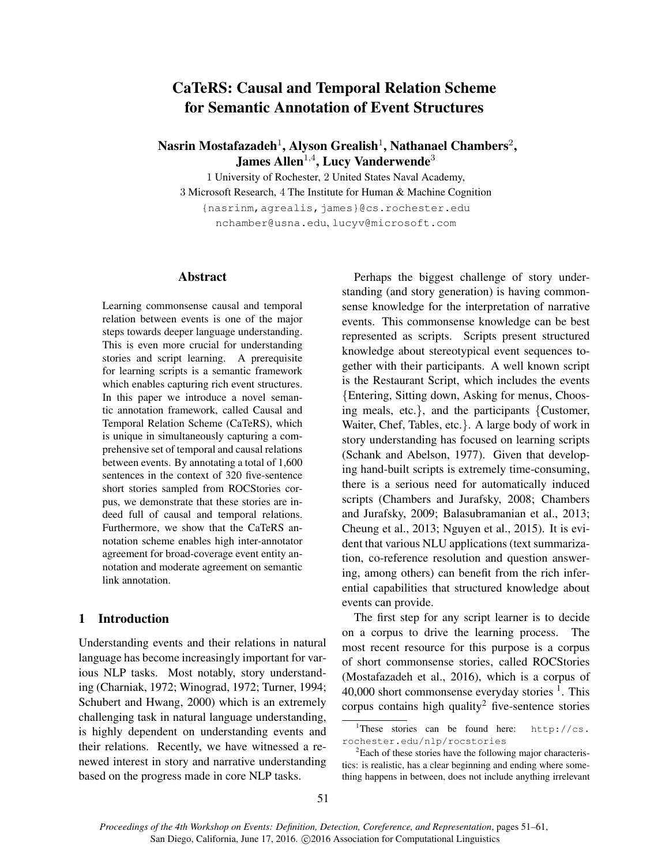# CaTeRS: Causal and Temporal Relation Scheme for Semantic Annotation of Event Structures

## Nasrin Mostafazadeh $^1$ , Alyson Grealish $^1$ , Nathanael Chambers $^2$ , James Allen $^{1,4}$ , Lucy Vanderwende $^3$

1 University of Rochester, 2 United States Naval Academy, 3 Microsoft Research, 4 The Institute for Human & Machine Cognition {nasrinm,agrealis,james}@cs.rochester.edu nchamber@usna.edu, lucyv@microsoft.com

#### Abstract

Learning commonsense causal and temporal relation between events is one of the major steps towards deeper language understanding. This is even more crucial for understanding stories and script learning. A prerequisite for learning scripts is a semantic framework which enables capturing rich event structures. In this paper we introduce a novel semantic annotation framework, called Causal and Temporal Relation Scheme (CaTeRS), which is unique in simultaneously capturing a comprehensive set of temporal and causal relations between events. By annotating a total of 1,600 sentences in the context of 320 five-sentence short stories sampled from ROCStories corpus, we demonstrate that these stories are indeed full of causal and temporal relations. Furthermore, we show that the CaTeRS annotation scheme enables high inter-annotator agreement for broad-coverage event entity annotation and moderate agreement on semantic link annotation.

## 1 Introduction

Understanding events and their relations in natural language has become increasingly important for various NLP tasks. Most notably, story understanding (Charniak, 1972; Winograd, 1972; Turner, 1994; Schubert and Hwang, 2000) which is an extremely challenging task in natural language understanding, is highly dependent on understanding events and their relations. Recently, we have witnessed a renewed interest in story and narrative understanding based on the progress made in core NLP tasks.

Perhaps the biggest challenge of story understanding (and story generation) is having commonsense knowledge for the interpretation of narrative events. This commonsense knowledge can be best represented as scripts. Scripts present structured knowledge about stereotypical event sequences together with their participants. A well known script is the Restaurant Script, which includes the events {Entering, Sitting down, Asking for menus, Choosing meals, etc.}, and the participants {Customer, Waiter, Chef, Tables, etc.}. A large body of work in story understanding has focused on learning scripts (Schank and Abelson, 1977). Given that developing hand-built scripts is extremely time-consuming, there is a serious need for automatically induced scripts (Chambers and Jurafsky, 2008; Chambers and Jurafsky, 2009; Balasubramanian et al., 2013; Cheung et al., 2013; Nguyen et al., 2015). It is evident that various NLU applications (text summarization, co-reference resolution and question answering, among others) can benefit from the rich inferential capabilities that structured knowledge about events can provide.

The first step for any script learner is to decide on a corpus to drive the learning process. The most recent resource for this purpose is a corpus of short commonsense stories, called ROCStories (Mostafazadeh et al., 2016), which is a corpus of 40,000 short commonsense everyday stories  $<sup>1</sup>$ . This</sup> corpus contains high quality<sup>2</sup> five-sentence stories

<sup>&</sup>lt;sup>1</sup>These stories can be found here:  $h \text{ttp}: // \text{cs}.$ rochester.edu/nlp/rocstories

<sup>&</sup>lt;sup>2</sup>Each of these stories have the following major characteristics: is realistic, has a clear beginning and ending where something happens in between, does not include anything irrelevant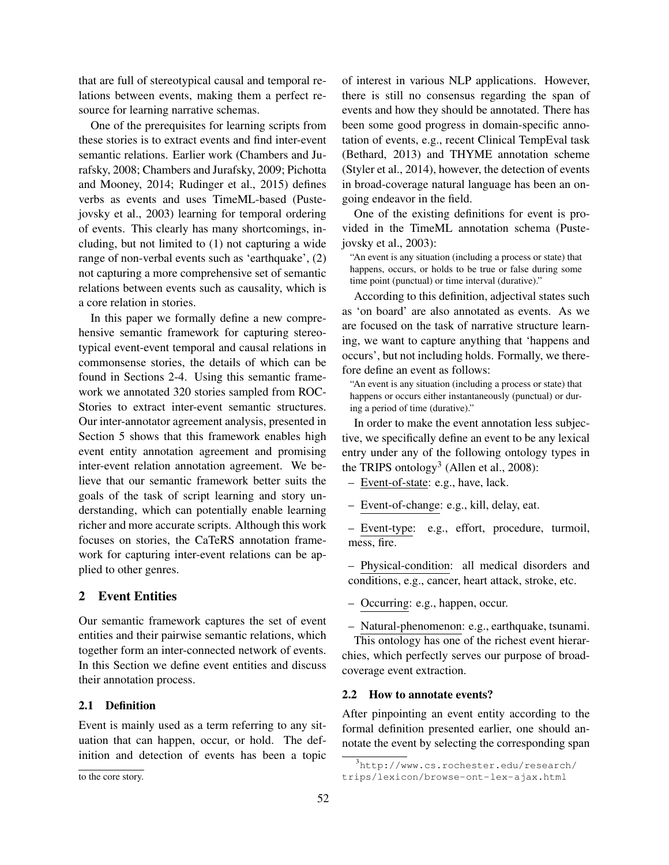that are full of stereotypical causal and temporal relations between events, making them a perfect resource for learning narrative schemas.

One of the prerequisites for learning scripts from these stories is to extract events and find inter-event semantic relations. Earlier work (Chambers and Jurafsky, 2008; Chambers and Jurafsky, 2009; Pichotta and Mooney, 2014; Rudinger et al., 2015) defines verbs as events and uses TimeML-based (Pustejovsky et al., 2003) learning for temporal ordering of events. This clearly has many shortcomings, including, but not limited to (1) not capturing a wide range of non-verbal events such as 'earthquake', (2) not capturing a more comprehensive set of semantic relations between events such as causality, which is a core relation in stories.

In this paper we formally define a new comprehensive semantic framework for capturing stereotypical event-event temporal and causal relations in commonsense stories, the details of which can be found in Sections 2-4. Using this semantic framework we annotated 320 stories sampled from ROC-Stories to extract inter-event semantic structures. Our inter-annotator agreement analysis, presented in Section 5 shows that this framework enables high event entity annotation agreement and promising inter-event relation annotation agreement. We believe that our semantic framework better suits the goals of the task of script learning and story understanding, which can potentially enable learning richer and more accurate scripts. Although this work focuses on stories, the CaTeRS annotation framework for capturing inter-event relations can be applied to other genres.

## 2 Event Entities

Our semantic framework captures the set of event entities and their pairwise semantic relations, which together form an inter-connected network of events. In this Section we define event entities and discuss their annotation process.

#### 2.1 Definition

Event is mainly used as a term referring to any situation that can happen, occur, or hold. The definition and detection of events has been a topic of interest in various NLP applications. However, there is still no consensus regarding the span of events and how they should be annotated. There has been some good progress in domain-specific annotation of events, e.g., recent Clinical TempEval task (Bethard, 2013) and THYME annotation scheme (Styler et al., 2014), however, the detection of events in broad-coverage natural language has been an ongoing endeavor in the field.

One of the existing definitions for event is provided in the TimeML annotation schema (Pustejovsky et al., 2003):

"An event is any situation (including a process or state) that happens, occurs, or holds to be true or false during some time point (punctual) or time interval (durative)."

According to this definition, adjectival states such as 'on board' are also annotated as events. As we are focused on the task of narrative structure learning, we want to capture anything that 'happens and occurs', but not including holds. Formally, we therefore define an event as follows:

"An event is any situation (including a process or state) that happens or occurs either instantaneously (punctual) or during a period of time (durative)."

In order to make the event annotation less subjective, we specifically define an event to be any lexical entry under any of the following ontology types in the TRIPS ontology<sup>3</sup> (Allen et al., 2008):

– Event-of-state: e.g., have, lack.

– Event-of-change: e.g., kill, delay, eat.

– Event-type: e.g., effort, procedure, turmoil, mess, fire.

– Physical-condition: all medical disorders and conditions, e.g., cancer, heart attack, stroke, etc.

– Occurring: e.g., happen, occur.

– Natural-phenomenon: e.g., earthquake, tsunami.

This ontology has one of the richest event hierarchies, which perfectly serves our purpose of broadcoverage event extraction.

#### 2.2 How to annotate events?

After pinpointing an event entity according to the formal definition presented earlier, one should annotate the event by selecting the corresponding span

to the core story.

<sup>3</sup>http://www.cs.rochester.edu/research/ trips/lexicon/browse-ont-lex-ajax.html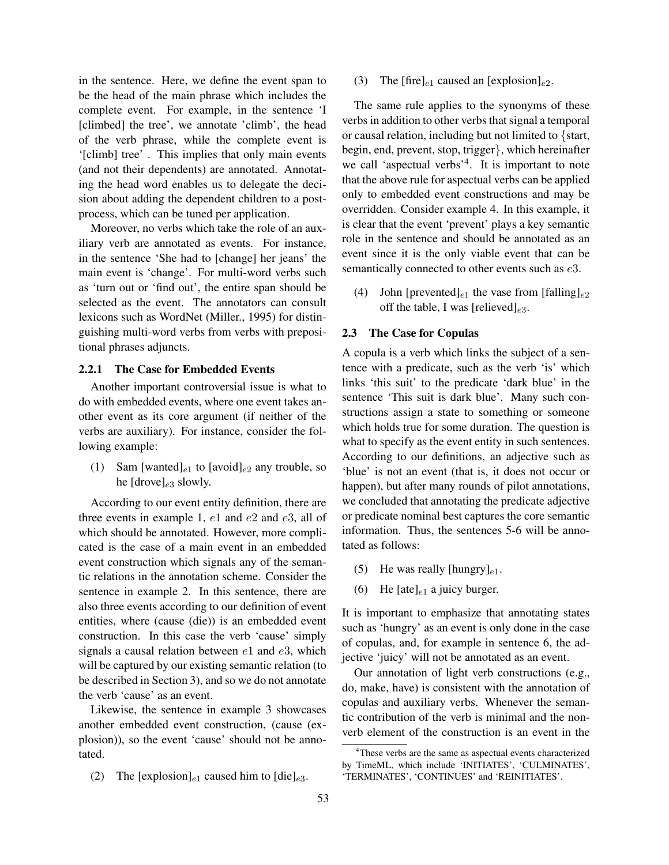in the sentence. Here, we define the event span to be the head of the main phrase which includes the complete event. For example, in the sentence 'I [climbed] the tree', we annotate 'climb', the head of the verb phrase, while the complete event is '[climb] tree' . This implies that only main events (and not their dependents) are annotated. Annotating the head word enables us to delegate the decision about adding the dependent children to a postprocess, which can be tuned per application.

Moreover, no verbs which take the role of an auxiliary verb are annotated as events. For instance, in the sentence 'She had to [change] her jeans' the main event is 'change'. For multi-word verbs such as 'turn out or 'find out', the entire span should be selected as the event. The annotators can consult lexicons such as WordNet (Miller., 1995) for distinguishing multi-word verbs from verbs with prepositional phrases adjuncts.

### 2.2.1 The Case for Embedded Events

Another important controversial issue is what to do with embedded events, where one event takes another event as its core argument (if neither of the verbs are auxiliary). For instance, consider the following example:

(1) Sam [wanted]<sub>e1</sub> to [avoid]<sub>e2</sub> any trouble, so he  $[drove]_{e3}$  slowly.

According to our event entity definition, there are three events in example 1,  $e1$  and  $e2$  and  $e3$ , all of which should be annotated. However, more complicated is the case of a main event in an embedded event construction which signals any of the semantic relations in the annotation scheme. Consider the sentence in example 2. In this sentence, there are also three events according to our definition of event entities, where (cause (die)) is an embedded event construction. In this case the verb 'cause' simply signals a causal relation between  $e1$  and  $e3$ , which will be captured by our existing semantic relation (to be described in Section 3), and so we do not annotate the verb 'cause' as an event.

Likewise, the sentence in example 3 showcases another embedded event construction, (cause (explosion)), so the event 'cause' should not be annotated.

(2) The [explosion]<sub>e1</sub> caused him to [die]<sub>e3</sub>.

(3) The [fire]<sub>e1</sub> caused an [explosion]<sub>e2</sub>.

The same rule applies to the synonyms of these verbs in addition to other verbs that signal a temporal or causal relation, including but not limited to {start, begin, end, prevent, stop, trigger}, which hereinafter we call 'aspectual verbs<sup>'4</sup>. It is important to note that the above rule for aspectual verbs can be applied only to embedded event constructions and may be overridden. Consider example 4. In this example, it is clear that the event 'prevent' plays a key semantic role in the sentence and should be annotated as an event since it is the only viable event that can be semantically connected to other events such as  $e3$ .

(4) John [prevented]<sub>e1</sub> the vase from [falling]<sub>e2</sub> off the table, I was [relieved] $_{e3}$ .

### 2.3 The Case for Copulas

A copula is a verb which links the subject of a sentence with a predicate, such as the verb 'is' which links 'this suit' to the predicate 'dark blue' in the sentence 'This suit is dark blue'. Many such constructions assign a state to something or someone which holds true for some duration. The question is what to specify as the event entity in such sentences. According to our definitions, an adjective such as 'blue' is not an event (that is, it does not occur or happen), but after many rounds of pilot annotations, we concluded that annotating the predicate adjective or predicate nominal best captures the core semantic information. Thus, the sentences 5-6 will be annotated as follows:

- (5) He was really [hungry] $_{e1}$ .
- (6) He  $[ate]_{e1}$  a juicy burger.

It is important to emphasize that annotating states such as 'hungry' as an event is only done in the case of copulas, and, for example in sentence 6, the adjective 'juicy' will not be annotated as an event.

Our annotation of light verb constructions (e.g., do, make, have) is consistent with the annotation of copulas and auxiliary verbs. Whenever the semantic contribution of the verb is minimal and the nonverb element of the construction is an event in the

<sup>&</sup>lt;sup>4</sup>These verbs are the same as aspectual events characterized by TimeML, which include 'INITIATES', 'CULMINATES', 'TERMINATES', 'CONTINUES' and 'REINITIATES'.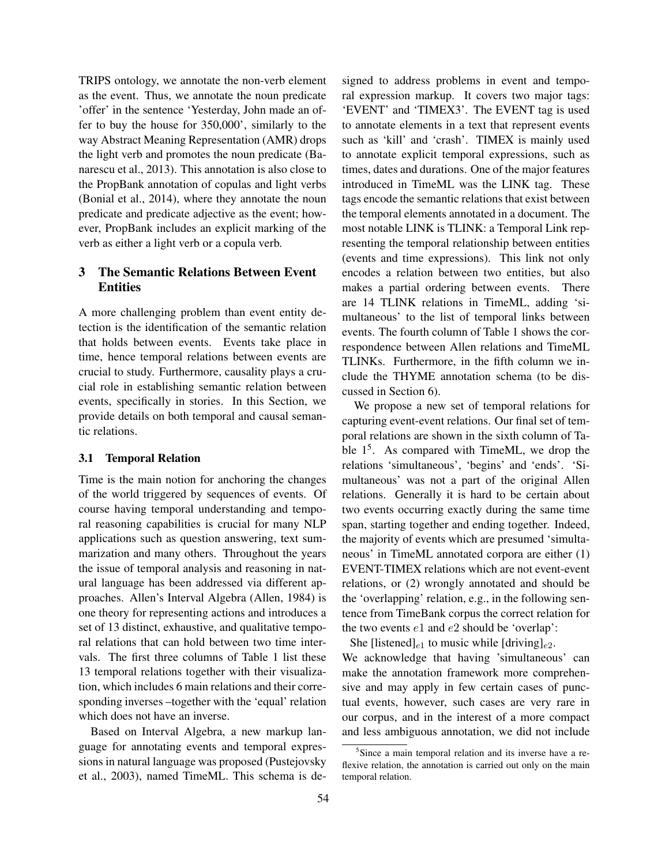TRIPS ontology, we annotate the non-verb element as the event. Thus, we annotate the noun predicate 'offer' in the sentence 'Yesterday, John made an offer to buy the house for 350,000', similarly to the way Abstract Meaning Representation (AMR) drops the light verb and promotes the noun predicate (Banarescu et al., 2013). This annotation is also close to the PropBank annotation of copulas and light verbs (Bonial et al., 2014), where they annotate the noun predicate and predicate adjective as the event; however, PropBank includes an explicit marking of the verb as either a light verb or a copula verb.

## 3 The Semantic Relations Between Event **Entities**

A more challenging problem than event entity detection is the identification of the semantic relation that holds between events. Events take place in time, hence temporal relations between events are crucial to study. Furthermore, causality plays a crucial role in establishing semantic relation between events, specifically in stories. In this Section, we provide details on both temporal and causal semantic relations.

#### 3.1 Temporal Relation

Time is the main notion for anchoring the changes of the world triggered by sequences of events. Of course having temporal understanding and temporal reasoning capabilities is crucial for many NLP applications such as question answering, text summarization and many others. Throughout the years the issue of temporal analysis and reasoning in natural language has been addressed via different approaches. Allen's Interval Algebra (Allen, 1984) is one theory for representing actions and introduces a set of 13 distinct, exhaustive, and qualitative temporal relations that can hold between two time intervals. The first three columns of Table 1 list these 13 temporal relations together with their visualization, which includes 6 main relations and their corresponding inverses –together with the 'equal' relation which does not have an inverse.

Based on Interval Algebra, a new markup language for annotating events and temporal expressions in natural language was proposed (Pustejovsky et al., 2003), named TimeML. This schema is designed to address problems in event and temporal expression markup. It covers two major tags: 'EVENT' and 'TIMEX3'. The EVENT tag is used to annotate elements in a text that represent events such as 'kill' and 'crash'. TIMEX is mainly used to annotate explicit temporal expressions, such as times, dates and durations. One of the major features introduced in TimeML was the LINK tag. These tags encode the semantic relations that exist between the temporal elements annotated in a document. The most notable LINK is TLINK: a Temporal Link representing the temporal relationship between entities (events and time expressions). This link not only encodes a relation between two entities, but also makes a partial ordering between events. There are 14 TLINK relations in TimeML, adding 'simultaneous' to the list of temporal links between events. The fourth column of Table 1 shows the correspondence between Allen relations and TimeML TLINKs. Furthermore, in the fifth column we include the THYME annotation schema (to be discussed in Section 6).

We propose a new set of temporal relations for capturing event-event relations. Our final set of temporal relations are shown in the sixth column of Table 1<sup>5</sup>. As compared with TimeML, we drop the relations 'simultaneous', 'begins' and 'ends'. 'Simultaneous' was not a part of the original Allen relations. Generally it is hard to be certain about two events occurring exactly during the same time span, starting together and ending together. Indeed, the majority of events which are presumed 'simultaneous' in TimeML annotated corpora are either (1) EVENT-TIMEX relations which are not event-event relations, or (2) wrongly annotated and should be the 'overlapping' relation, e.g., in the following sentence from TimeBank corpus the correct relation for the two events  $e1$  and  $e2$  should be 'overlap':

She [listened]<sub>e1</sub> to music while [driving]<sub>e2</sub>.

We acknowledge that having 'simultaneous' can make the annotation framework more comprehensive and may apply in few certain cases of punctual events, however, such cases are very rare in our corpus, and in the interest of a more compact and less ambiguous annotation, we did not include

<sup>&</sup>lt;sup>5</sup>Since a main temporal relation and its inverse have a reflexive relation, the annotation is carried out only on the main temporal relation.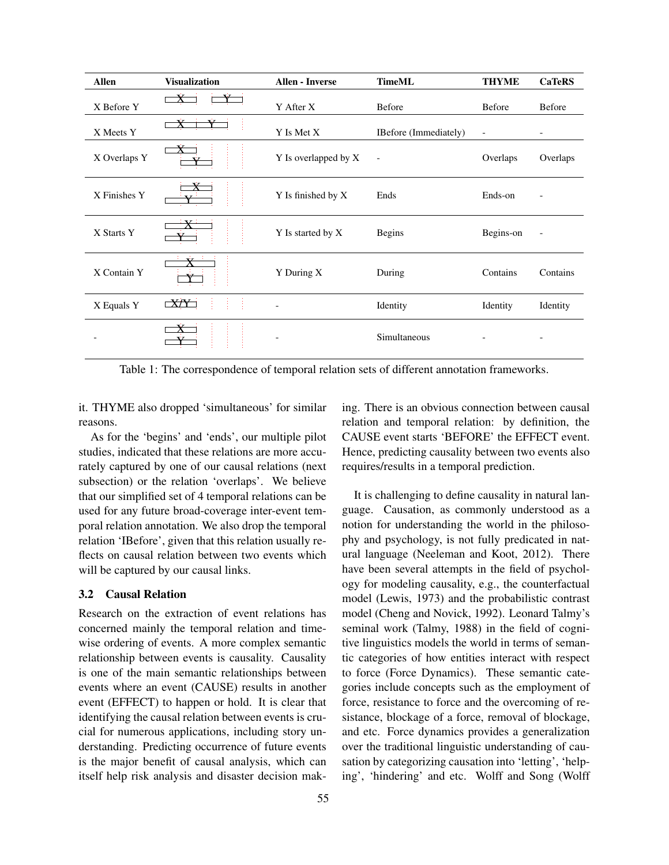| Allen        | <b>Visualization</b> | <b>Allen - Inverse</b> | <b>TimeML</b>            | <b>THYME</b>             | <b>CaTeRS</b>            |
|--------------|----------------------|------------------------|--------------------------|--------------------------|--------------------------|
| X Before Y   |                      | Y After X              | Before                   | Before                   | Before                   |
| X Meets Y    |                      | Y Is Met X             | IBefore (Immediately)    | $\overline{\phantom{a}}$ |                          |
| X Overlaps Y |                      | Y Is overlapped by X   | $\overline{\phantom{a}}$ | Overlaps                 | Overlaps                 |
| X Finishes Y |                      | Y Is finished by X     | Ends                     | Ends-on                  | ۰                        |
| X Starts Y   |                      | Y Is started by X      | <b>Begins</b>            | Begins-on                | $\overline{\phantom{a}}$ |
| X Contain Y  |                      | Y During X             | During                   | Contains                 | Contains                 |
| X Equals Y   | XY                   |                        | Identity                 | Identity                 | Identity                 |
|              |                      |                        | Simultaneous             |                          |                          |

Table 1: The correspondence of temporal relation sets of different annotation frameworks.

it. THYME also dropped 'simultaneous' for similar reasons.

As for the 'begins' and 'ends', our multiple pilot studies, indicated that these relations are more accurately captured by one of our causal relations (next subsection) or the relation 'overlaps'. We believe that our simplified set of 4 temporal relations can be used for any future broad-coverage inter-event temporal relation annotation. We also drop the temporal relation 'IBefore', given that this relation usually reflects on causal relation between two events which will be captured by our causal links.

## 3.2 Causal Relation

Research on the extraction of event relations has concerned mainly the temporal relation and timewise ordering of events. A more complex semantic relationship between events is causality. Causality is one of the main semantic relationships between events where an event (CAUSE) results in another event (EFFECT) to happen or hold. It is clear that identifying the causal relation between events is crucial for numerous applications, including story understanding. Predicting occurrence of future events is the major benefit of causal analysis, which can itself help risk analysis and disaster decision making. There is an obvious connection between causal relation and temporal relation: by definition, the CAUSE event starts 'BEFORE' the EFFECT event. Hence, predicting causality between two events also requires/results in a temporal prediction.

It is challenging to define causality in natural language. Causation, as commonly understood as a notion for understanding the world in the philosophy and psychology, is not fully predicated in natural language (Neeleman and Koot, 2012). There have been several attempts in the field of psychology for modeling causality, e.g., the counterfactual model (Lewis, 1973) and the probabilistic contrast model (Cheng and Novick, 1992). Leonard Talmy's seminal work (Talmy, 1988) in the field of cognitive linguistics models the world in terms of semantic categories of how entities interact with respect to force (Force Dynamics). These semantic categories include concepts such as the employment of force, resistance to force and the overcoming of resistance, blockage of a force, removal of blockage, and etc. Force dynamics provides a generalization over the traditional linguistic understanding of causation by categorizing causation into 'letting', 'helping', 'hindering' and etc. Wolff and Song (Wolff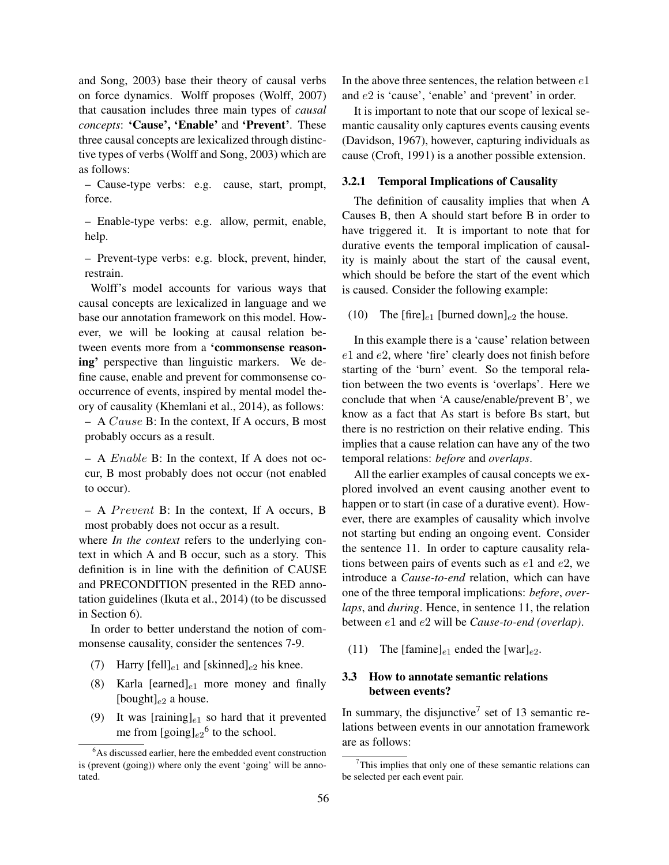and Song, 2003) base their theory of causal verbs on force dynamics. Wolff proposes (Wolff, 2007) that causation includes three main types of *causal concepts*: 'Cause', 'Enable' and 'Prevent'. These three causal concepts are lexicalized through distinctive types of verbs (Wolff and Song, 2003) which are as follows:

– Cause-type verbs: e.g. cause, start, prompt, force.

– Enable-type verbs: e.g. allow, permit, enable, help.

– Prevent-type verbs: e.g. block, prevent, hinder, restrain.

Wolff's model accounts for various ways that causal concepts are lexicalized in language and we base our annotation framework on this model. However, we will be looking at causal relation between events more from a 'commonsense reasoning' perspective than linguistic markers. We define cause, enable and prevent for commonsense cooccurrence of events, inspired by mental model theory of causality (Khemlani et al., 2014), as follows:

– A Cause B: In the context, If A occurs, B most probably occurs as a result.

– A Enable B: In the context, If A does not occur, B most probably does not occur (not enabled to occur).

 $-$  A *Prevent* B: In the context, If A occurs, B most probably does not occur as a result.

where *In the context* refers to the underlying context in which A and B occur, such as a story. This definition is in line with the definition of CAUSE and PRECONDITION presented in the RED annotation guidelines (Ikuta et al., 2014) (to be discussed in Section 6).

In order to better understand the notion of commonsense causality, consider the sentences 7-9.

- (7) Harry [fell]<sub>e1</sub> and [skinned]<sub>e2</sub> his knee.
- (8) Karla [earned] $_{e1}$  more money and finally [bought] $_{e2}$  a house.
- (9) It was [raining] $_{e1}$  so hard that it prevented me from  $[\text{going}]_{e2}^6$  to the school.

In the above three sentences, the relation between  $e1$ and e2 is 'cause', 'enable' and 'prevent' in order.

It is important to note that our scope of lexical semantic causality only captures events causing events (Davidson, 1967), however, capturing individuals as cause (Croft, 1991) is a another possible extension.

#### 3.2.1 Temporal Implications of Causality

The definition of causality implies that when A Causes B, then A should start before B in order to have triggered it. It is important to note that for durative events the temporal implication of causality is mainly about the start of the causal event, which should be before the start of the event which is caused. Consider the following example:

(10) The  $[\text{fire}]_{e1}$  [burned down]<sub>e2</sub> the house.

In this example there is a 'cause' relation between e1 and e2, where 'fire' clearly does not finish before starting of the 'burn' event. So the temporal relation between the two events is 'overlaps'. Here we conclude that when 'A cause/enable/prevent B', we know as a fact that As start is before Bs start, but there is no restriction on their relative ending. This implies that a cause relation can have any of the two temporal relations: *before* and *overlaps*.

All the earlier examples of causal concepts we explored involved an event causing another event to happen or to start (in case of a durative event). However, there are examples of causality which involve not starting but ending an ongoing event. Consider the sentence 11. In order to capture causality relations between pairs of events such as  $e1$  and  $e2$ , we introduce a *Cause-to-end* relation, which can have one of the three temporal implications: *before*, *overlaps*, and *during*. Hence, in sentence 11, the relation between e1 and e2 will be *Cause-to-end (overlap)*.

(11) The [famine]<sub>e1</sub> ended the [war]<sub>e2</sub>.

## 3.3 How to annotate semantic relations between events?

In summary, the disjunctive<sup>7</sup> set of 13 semantic relations between events in our annotation framework are as follows:

<sup>&</sup>lt;sup>6</sup>As discussed earlier, here the embedded event construction is (prevent (going)) where only the event 'going' will be annotated.

 $7$ This implies that only one of these semantic relations can be selected per each event pair.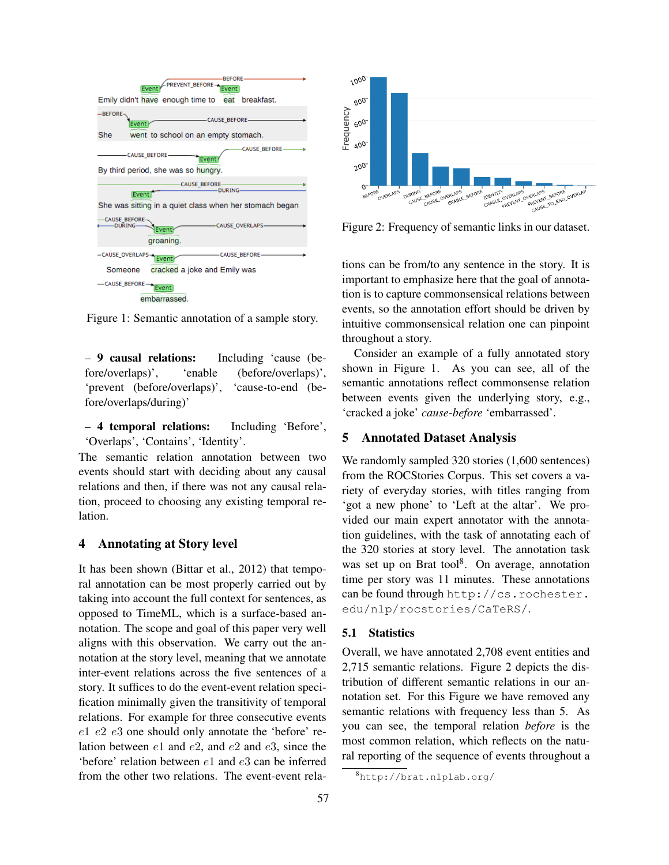

Figure 1: Semantic annotation of a sample story.

– 9 causal relations: Including 'cause (before/overlaps)', 'enable (before/overlaps)', 'prevent (before/overlaps)', 'cause-to-end (before/overlaps/during)'

– 4 temporal relations: Including 'Before', 'Overlaps', 'Contains', 'Identity'.

The semantic relation annotation between two events should start with deciding about any causal relations and then, if there was not any causal relation, proceed to choosing any existing temporal relation.

### 4 Annotating at Story level

It has been shown (Bittar et al., 2012) that temporal annotation can be most properly carried out by taking into account the full context for sentences, as opposed to TimeML, which is a surface-based annotation. The scope and goal of this paper very well aligns with this observation. We carry out the annotation at the story level, meaning that we annotate inter-event relations across the five sentences of a story. It suffices to do the event-event relation specification minimally given the transitivity of temporal relations. For example for three consecutive events e1 e2 e3 one should only annotate the 'before' relation between e1 and e2, and e2 and e3, since the 'before' relation between e1 and e3 can be inferred from the other two relations. The event-event rela-



Figure 2: Frequency of semantic links in our dataset.

tions can be from/to any sentence in the story. It is important to emphasize here that the goal of annotation is to capture commonsensical relations between events, so the annotation effort should be driven by intuitive commonsensical relation one can pinpoint throughout a story.

Consider an example of a fully annotated story shown in Figure 1. As you can see, all of the semantic annotations reflect commonsense relation between events given the underlying story, e.g., 'cracked a joke' *cause-before* 'embarrassed'.

## 5 Annotated Dataset Analysis

We randomly sampled 320 stories (1,600 sentences) from the ROCStories Corpus. This set covers a variety of everyday stories, with titles ranging from 'got a new phone' to 'Left at the altar'. We provided our main expert annotator with the annotation guidelines, with the task of annotating each of the 320 stories at story level. The annotation task was set up on Brat tool<sup>8</sup>. On average, annotation time per story was 11 minutes. These annotations can be found through http://cs.rochester. edu/nlp/rocstories/CaTeRS/.

#### 5.1 Statistics

Overall, we have annotated 2,708 event entities and 2,715 semantic relations. Figure 2 depicts the distribution of different semantic relations in our annotation set. For this Figure we have removed any semantic relations with frequency less than 5. As you can see, the temporal relation *before* is the most common relation, which reflects on the natural reporting of the sequence of events throughout a

<sup>8</sup>http://brat.nlplab.org/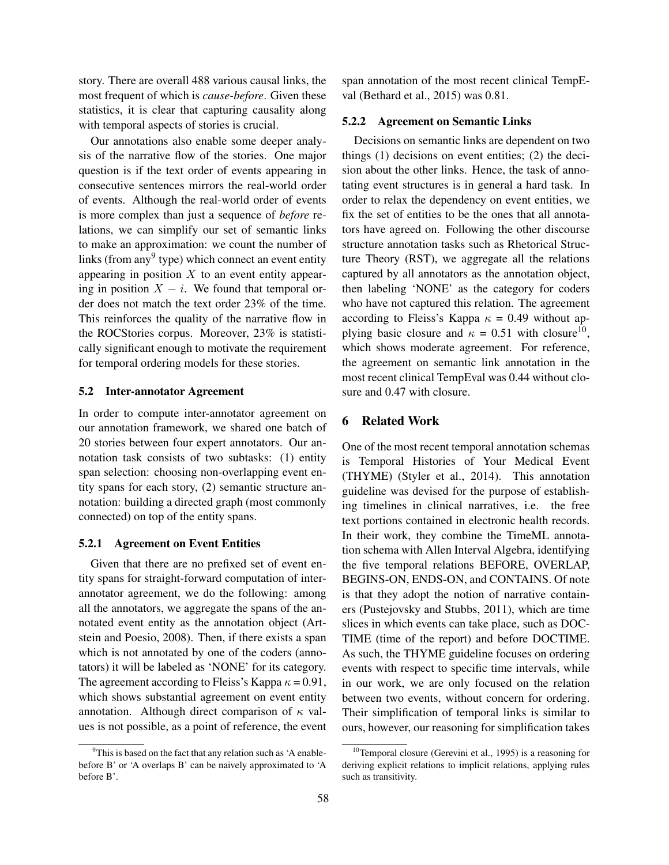story. There are overall 488 various causal links, the most frequent of which is *cause-before*. Given these statistics, it is clear that capturing causality along with temporal aspects of stories is crucial.

Our annotations also enable some deeper analysis of the narrative flow of the stories. One major question is if the text order of events appearing in consecutive sentences mirrors the real-world order of events. Although the real-world order of events is more complex than just a sequence of *before* relations, we can simplify our set of semantic links to make an approximation: we count the number of links (from any<sup>9</sup> type) which connect an event entity appearing in position  $X$  to an event entity appearing in position  $X - i$ . We found that temporal order does not match the text order 23% of the time. This reinforces the quality of the narrative flow in the ROCStories corpus. Moreover, 23% is statistically significant enough to motivate the requirement for temporal ordering models for these stories.

#### 5.2 Inter-annotator Agreement

In order to compute inter-annotator agreement on our annotation framework, we shared one batch of 20 stories between four expert annotators. Our annotation task consists of two subtasks: (1) entity span selection: choosing non-overlapping event entity spans for each story, (2) semantic structure annotation: building a directed graph (most commonly connected) on top of the entity spans.

#### 5.2.1 Agreement on Event Entities

Given that there are no prefixed set of event entity spans for straight-forward computation of interannotator agreement, we do the following: among all the annotators, we aggregate the spans of the annotated event entity as the annotation object (Artstein and Poesio, 2008). Then, if there exists a span which is not annotated by one of the coders (annotators) it will be labeled as 'NONE' for its category. The agreement according to Fleiss's Kappa  $\kappa = 0.91$ , which shows substantial agreement on event entity annotation. Although direct comparison of  $\kappa$  values is not possible, as a point of reference, the event span annotation of the most recent clinical TempEval (Bethard et al., 2015) was 0.81.

#### 5.2.2 Agreement on Semantic Links

Decisions on semantic links are dependent on two things (1) decisions on event entities; (2) the decision about the other links. Hence, the task of annotating event structures is in general a hard task. In order to relax the dependency on event entities, we fix the set of entities to be the ones that all annotators have agreed on. Following the other discourse structure annotation tasks such as Rhetorical Structure Theory (RST), we aggregate all the relations captured by all annotators as the annotation object, then labeling 'NONE' as the category for coders who have not captured this relation. The agreement according to Fleiss's Kappa  $\kappa = 0.49$  without applying basic closure and  $\kappa = 0.51$  with closure<sup>10</sup>, which shows moderate agreement. For reference, the agreement on semantic link annotation in the most recent clinical TempEval was 0.44 without closure and 0.47 with closure.

#### 6 Related Work

One of the most recent temporal annotation schemas is Temporal Histories of Your Medical Event (THYME) (Styler et al., 2014). This annotation guideline was devised for the purpose of establishing timelines in clinical narratives, i.e. the free text portions contained in electronic health records. In their work, they combine the TimeML annotation schema with Allen Interval Algebra, identifying the five temporal relations BEFORE, OVERLAP, BEGINS-ON, ENDS-ON, and CONTAINS. Of note is that they adopt the notion of narrative containers (Pustejovsky and Stubbs, 2011), which are time slices in which events can take place, such as DOC-TIME (time of the report) and before DOCTIME. As such, the THYME guideline focuses on ordering events with respect to specific time intervals, while in our work, we are only focused on the relation between two events, without concern for ordering. Their simplification of temporal links is similar to ours, however, our reasoning for simplification takes

<sup>&</sup>lt;sup>9</sup>This is based on the fact that any relation such as 'A enablebefore B' or 'A overlaps B' can be naively approximated to 'A before B'.

<sup>&</sup>lt;sup>10</sup>Temporal closure (Gerevini et al., 1995) is a reasoning for deriving explicit relations to implicit relations, applying rules such as transitivity.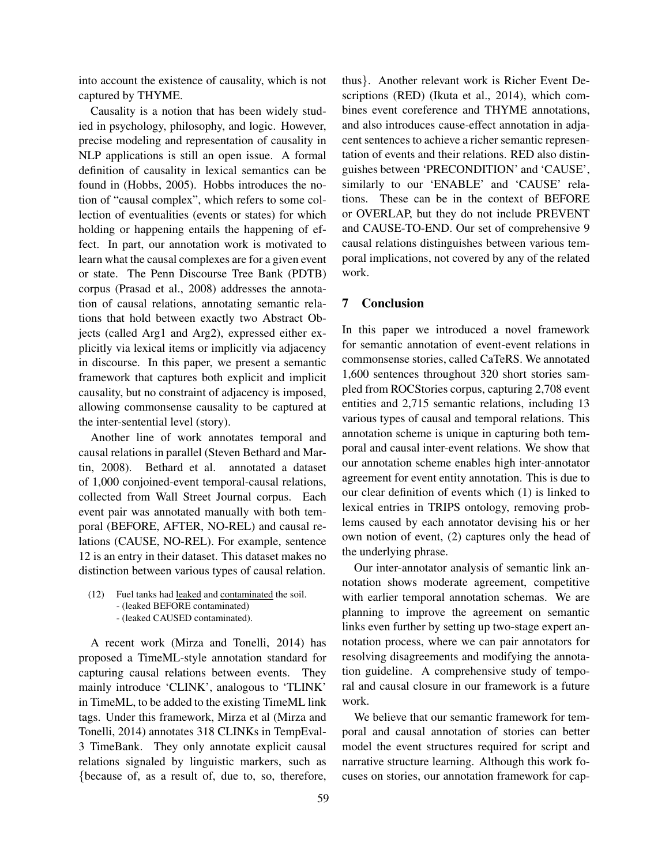into account the existence of causality, which is not captured by THYME.

Causality is a notion that has been widely studied in psychology, philosophy, and logic. However, precise modeling and representation of causality in NLP applications is still an open issue. A formal definition of causality in lexical semantics can be found in (Hobbs, 2005). Hobbs introduces the notion of "causal complex", which refers to some collection of eventualities (events or states) for which holding or happening entails the happening of effect. In part, our annotation work is motivated to learn what the causal complexes are for a given event or state. The Penn Discourse Tree Bank (PDTB) corpus (Prasad et al., 2008) addresses the annotation of causal relations, annotating semantic relations that hold between exactly two Abstract Objects (called Arg1 and Arg2), expressed either explicitly via lexical items or implicitly via adjacency in discourse. In this paper, we present a semantic framework that captures both explicit and implicit causality, but no constraint of adjacency is imposed, allowing commonsense causality to be captured at the inter-sentential level (story).

Another line of work annotates temporal and causal relations in parallel (Steven Bethard and Martin, 2008). Bethard et al. annotated a dataset of 1,000 conjoined-event temporal-causal relations, collected from Wall Street Journal corpus. Each event pair was annotated manually with both temporal (BEFORE, AFTER, NO-REL) and causal relations (CAUSE, NO-REL). For example, sentence 12 is an entry in their dataset. This dataset makes no distinction between various types of causal relation.

(12) Fuel tanks had leaked and contaminated the soil. - (leaked BEFORE contaminated) - (leaked CAUSED contaminated).

A recent work (Mirza and Tonelli, 2014) has proposed a TimeML-style annotation standard for capturing causal relations between events. They mainly introduce 'CLINK', analogous to 'TLINK' in TimeML, to be added to the existing TimeML link tags. Under this framework, Mirza et al (Mirza and Tonelli, 2014) annotates 318 CLINKs in TempEval-3 TimeBank. They only annotate explicit causal relations signaled by linguistic markers, such as {because of, as a result of, due to, so, therefore, thus}. Another relevant work is Richer Event Descriptions (RED) (Ikuta et al., 2014), which combines event coreference and THYME annotations, and also introduces cause-effect annotation in adjacent sentences to achieve a richer semantic representation of events and their relations. RED also distinguishes between 'PRECONDITION' and 'CAUSE', similarly to our 'ENABLE' and 'CAUSE' relations. These can be in the context of BEFORE or OVERLAP, but they do not include PREVENT and CAUSE-TO-END. Our set of comprehensive 9 causal relations distinguishes between various temporal implications, not covered by any of the related work.

### 7 Conclusion

In this paper we introduced a novel framework for semantic annotation of event-event relations in commonsense stories, called CaTeRS. We annotated 1,600 sentences throughout 320 short stories sampled from ROCStories corpus, capturing 2,708 event entities and 2,715 semantic relations, including 13 various types of causal and temporal relations. This annotation scheme is unique in capturing both temporal and causal inter-event relations. We show that our annotation scheme enables high inter-annotator agreement for event entity annotation. This is due to our clear definition of events which (1) is linked to lexical entries in TRIPS ontology, removing problems caused by each annotator devising his or her own notion of event, (2) captures only the head of the underlying phrase.

Our inter-annotator analysis of semantic link annotation shows moderate agreement, competitive with earlier temporal annotation schemas. We are planning to improve the agreement on semantic links even further by setting up two-stage expert annotation process, where we can pair annotators for resolving disagreements and modifying the annotation guideline. A comprehensive study of temporal and causal closure in our framework is a future work.

We believe that our semantic framework for temporal and causal annotation of stories can better model the event structures required for script and narrative structure learning. Although this work focuses on stories, our annotation framework for cap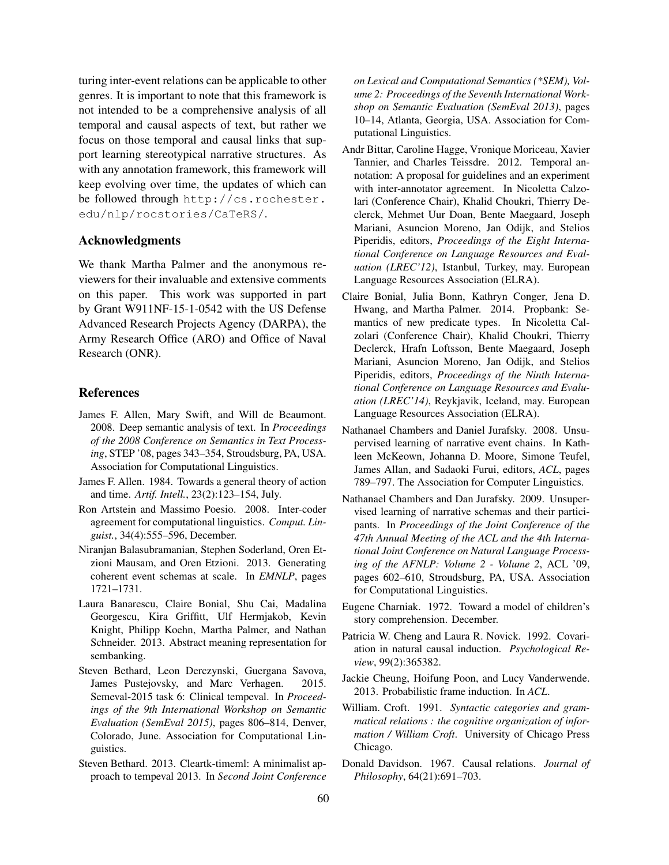turing inter-event relations can be applicable to other genres. It is important to note that this framework is not intended to be a comprehensive analysis of all temporal and causal aspects of text, but rather we focus on those temporal and causal links that support learning stereotypical narrative structures. As with any annotation framework, this framework will keep evolving over time, the updates of which can be followed through http://cs.rochester. edu/nlp/rocstories/CaTeRS/.

## Acknowledgments

We thank Martha Palmer and the anonymous reviewers for their invaluable and extensive comments on this paper. This work was supported in part by Grant W911NF-15-1-0542 with the US Defense Advanced Research Projects Agency (DARPA), the Army Research Office (ARO) and Office of Naval Research (ONR).

### **References**

- James F. Allen, Mary Swift, and Will de Beaumont. 2008. Deep semantic analysis of text. In *Proceedings of the 2008 Conference on Semantics in Text Processing*, STEP '08, pages 343–354, Stroudsburg, PA, USA. Association for Computational Linguistics.
- James F. Allen. 1984. Towards a general theory of action and time. *Artif. Intell.*, 23(2):123–154, July.
- Ron Artstein and Massimo Poesio. 2008. Inter-coder agreement for computational linguistics. *Comput. Linguist.*, 34(4):555–596, December.
- Niranjan Balasubramanian, Stephen Soderland, Oren Etzioni Mausam, and Oren Etzioni. 2013. Generating coherent event schemas at scale. In *EMNLP*, pages 1721–1731.
- Laura Banarescu, Claire Bonial, Shu Cai, Madalina Georgescu, Kira Griffitt, Ulf Hermjakob, Kevin Knight, Philipp Koehn, Martha Palmer, and Nathan Schneider. 2013. Abstract meaning representation for sembanking.
- Steven Bethard, Leon Derczynski, Guergana Savova, James Pustejovsky, and Marc Verhagen. 2015. Semeval-2015 task 6: Clinical tempeval. In *Proceedings of the 9th International Workshop on Semantic Evaluation (SemEval 2015)*, pages 806–814, Denver, Colorado, June. Association for Computational Linguistics.
- Steven Bethard. 2013. Cleartk-timeml: A minimalist approach to tempeval 2013. In *Second Joint Conference*

*on Lexical and Computational Semantics (\*SEM), Volume 2: Proceedings of the Seventh International Workshop on Semantic Evaluation (SemEval 2013)*, pages 10–14, Atlanta, Georgia, USA. Association for Computational Linguistics.

- Andr Bittar, Caroline Hagge, Vronique Moriceau, Xavier Tannier, and Charles Teissdre. 2012. Temporal annotation: A proposal for guidelines and an experiment with inter-annotator agreement. In Nicoletta Calzolari (Conference Chair), Khalid Choukri, Thierry Declerck, Mehmet Uur Doan, Bente Maegaard, Joseph Mariani, Asuncion Moreno, Jan Odijk, and Stelios Piperidis, editors, *Proceedings of the Eight International Conference on Language Resources and Evaluation (LREC'12)*, Istanbul, Turkey, may. European Language Resources Association (ELRA).
- Claire Bonial, Julia Bonn, Kathryn Conger, Jena D. Hwang, and Martha Palmer. 2014. Propbank: Semantics of new predicate types. In Nicoletta Calzolari (Conference Chair), Khalid Choukri, Thierry Declerck, Hrafn Loftsson, Bente Maegaard, Joseph Mariani, Asuncion Moreno, Jan Odijk, and Stelios Piperidis, editors, *Proceedings of the Ninth International Conference on Language Resources and Evaluation (LREC'14)*, Reykjavik, Iceland, may. European Language Resources Association (ELRA).
- Nathanael Chambers and Daniel Jurafsky. 2008. Unsupervised learning of narrative event chains. In Kathleen McKeown, Johanna D. Moore, Simone Teufel, James Allan, and Sadaoki Furui, editors, *ACL*, pages 789–797. The Association for Computer Linguistics.
- Nathanael Chambers and Dan Jurafsky. 2009. Unsupervised learning of narrative schemas and their participants. In *Proceedings of the Joint Conference of the 47th Annual Meeting of the ACL and the 4th International Joint Conference on Natural Language Processing of the AFNLP: Volume 2 - Volume 2*, ACL '09, pages 602–610, Stroudsburg, PA, USA. Association for Computational Linguistics.
- Eugene Charniak. 1972. Toward a model of children's story comprehension. December.
- Patricia W. Cheng and Laura R. Novick. 1992. Covariation in natural causal induction. *Psychological Review*, 99(2):365382.
- Jackie Cheung, Hoifung Poon, and Lucy Vanderwende. 2013. Probabilistic frame induction. In *ACL*.
- William. Croft. 1991. *Syntactic categories and grammatical relations : the cognitive organization of information / William Croft*. University of Chicago Press Chicago.
- Donald Davidson. 1967. Causal relations. *Journal of Philosophy*, 64(21):691–703.